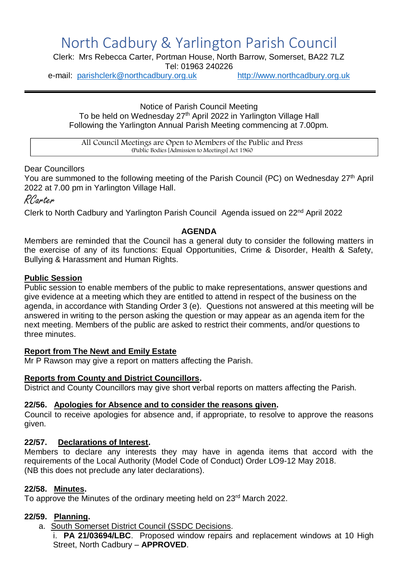# North Cadbury & Yarlington Parish Council

Clerk: Mrs Rebecca Carter, Portman House, North Barrow, Somerset, BA22 7LZ

Tel: 01963 240226

e-mail: [parishclerk@northcadbury.org.uk](mailto:parishclerk@northcadbury.org.uk) [http://www.northcadbury.org.uk](http://www.northcadbury.org.uk/)

Notice of Parish Council Meeting To be held on Wednesday 27<sup>th</sup> April 2022 in Yarlington Village Hall Following the Yarlington Annual Parish Meeting commencing at 7.00pm.

All Council Meetings are Open to Members of the Public and Press (Public Bodies [Admission to Meetings] Act 1960

# Dear Councillors

You are summoned to the following meeting of the Parish Council (PC) on Wednesday 27<sup>th</sup> April 2022 at 7.00 pm in Yarlington Village Hall.

RCarter

Clerk to North Cadbury and Yarlington Parish Council Agenda issued on 22nd April 2022

# **AGENDA**

Members are reminded that the Council has a general duty to consider the following matters in the exercise of any of its functions: Equal Opportunities, Crime & Disorder, Health & Safety, Bullying & Harassment and Human Rights.

# **Public Session**

Public session to enable members of the public to make representations, answer questions and give evidence at a meeting which they are entitled to attend in respect of the business on the agenda, in accordance with Standing Order 3 (e). Questions not answered at this meeting will be answered in writing to the person asking the question or may appear as an agenda item for the next meeting. Members of the public are asked to restrict their comments, and/or questions to three minutes.

#### **Report from The Newt and Emily Estate**

Mr P Rawson may give a report on matters affecting the Parish.

#### **Reports from County and District Councillors.**

District and County Councillors may give short verbal reports on matters affecting the Parish.

#### **22/56. Apologies for Absence and to consider the reasons given.**

Council to receive apologies for absence and, if appropriate, to resolve to approve the reasons given.

#### **22/57. Declarations of Interest.**

Members to declare any interests they may have in agenda items that accord with the requirements of the Local Authority (Model Code of Conduct) Order LO9-12 May 2018. (NB this does not preclude any later declarations).

#### **22/58. Minutes.**

To approve the Minutes of the ordinary meeting held on 23<sup>rd</sup> March 2022.

#### **22/59. Planning.**

a. South Somerset District Council (SSDC Decisions.

i. **PA 21/03694/LBC**. Proposed window repairs and replacement windows at 10 High Street, North Cadbury – **APPROVED**.